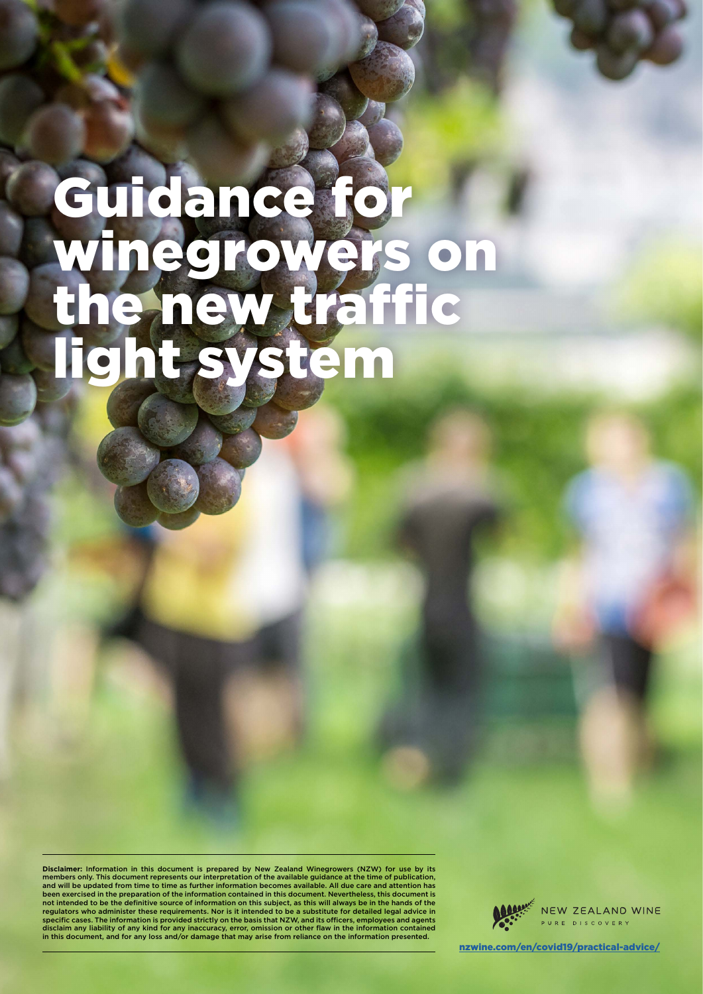# Guidance for winegrowers on the new traffic light system

Disclaimer: Information in this document is prepared by New Zealand Winegrowers (NZW) for use by its<br>members only. This document represents our interpretation of the available guidance at the time of publication,<br>and will been exercised in the preparation of the information contained in this document. Nevertheless, this document not intended to be the definitive source of information on this subject, as this will always be in the hands of the<br>regulators who administer these requirements. Nor is it intended to be a substitute for detailed legal adv specific cases. The information is provided strictly on the basis that NZW, and its officers, employees and agents disclaim any liability of any kind for any inaccuracy, error, omission or other flaw in the information contained in this document, and for any loss and/or damage that may arise from reliance on the information presented.

NEW ZEALAND WINE RE DISCOVERY

[nzwine.com/en/covid19/practical-advice/](https://www.nzwine.com/en/covid19/practical-advice/)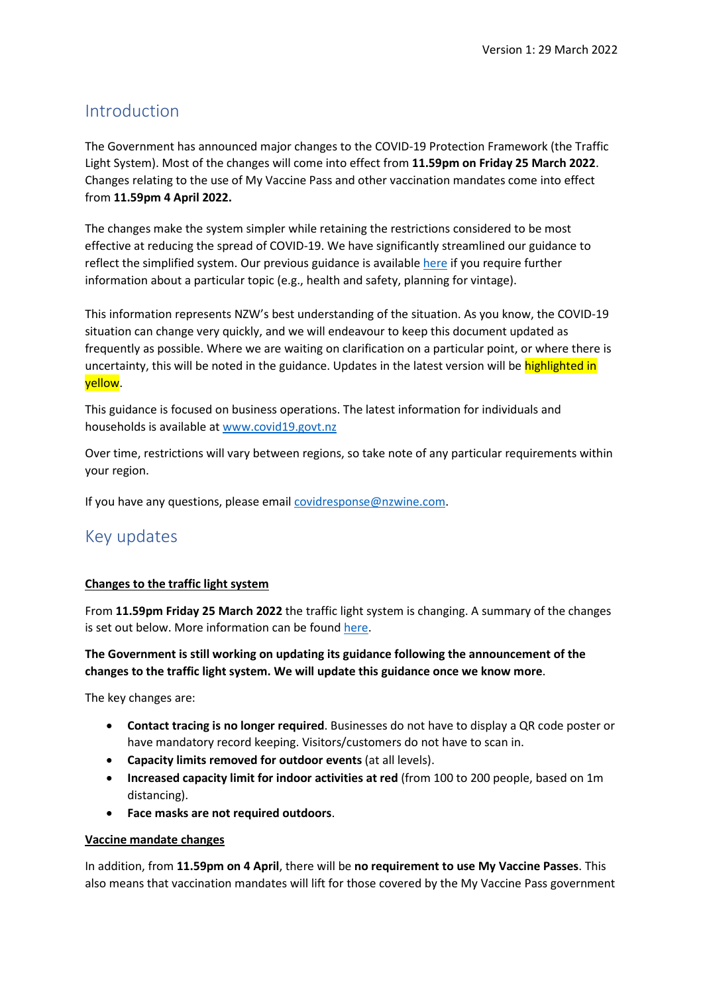# Introduction

The Government has announced major changes to the COVID-19 Protection Framework (the Traffic Light System). Most of the changes will come into effect from **11.59pm on Friday 25 March 2022**. Changes relating to the use of My Vaccine Pass and other vaccination mandates come into effect from **11.59pm 4 April 2022.**

The changes make the system simpler while retaining the restrictions considered to be most effective at reducing the spread of COVID-19. We have significantly streamlined our guidance to reflect the simplified system. Our previous guidance is availabl[e here](https://www.nzwine.com/en/covid19/practical-advice/archived/) if you require further information about a particular topic (e.g., health and safety, planning for vintage).

This information represents NZW's best understanding of the situation. As you know, the COVID-19 situation can change very quickly, and we will endeavour to keep this document updated as frequently as possible. Where we are waiting on clarification on a particular point, or where there is uncertainty, this will be noted in the guidance. Updates in the latest version will be highlighted in yellow.

This guidance is focused on business operations. The latest information for individuals and households is available a[t www.covid19.govt.nz](http://www.covid19.govt.nz/) 

Over time, restrictions will vary between regions, so take note of any particular requirements within your region.

If you have any questions, please email [covidresponse@nzwine.com.](mailto:covidresponse@nzwine.com)

# Key updates

## **Changes to the traffic light system**

From **11.59pm Friday 25 March 2022** the traffic light system is changing. A summary of the changes is set out below. More information can be found [here.](https://covid19.govt.nz/traffic-lights/changes-to-the-traffic-light-system)

#### **The Government is still working on updating its guidance following the announcement of the changes to the traffic light system. We will update this guidance once we know more**.

The key changes are:

- **Contact tracing is no longer required**. Businesses do not have to display a QR code poster or have mandatory record keeping. Visitors/customers do not have to scan in.
- **Capacity limits removed for outdoor events** (at all levels).
- **Increased capacity limit for indoor activities at red** (from 100 to 200 people, based on 1m distancing).
- **Face masks are not required outdoors**.

#### **Vaccine mandate changes**

In addition, from **11.59pm on 4 April**, there will be **no requirement to use My Vaccine Passes**. This also means that vaccination mandates will lift for those covered by the My Vaccine Pass government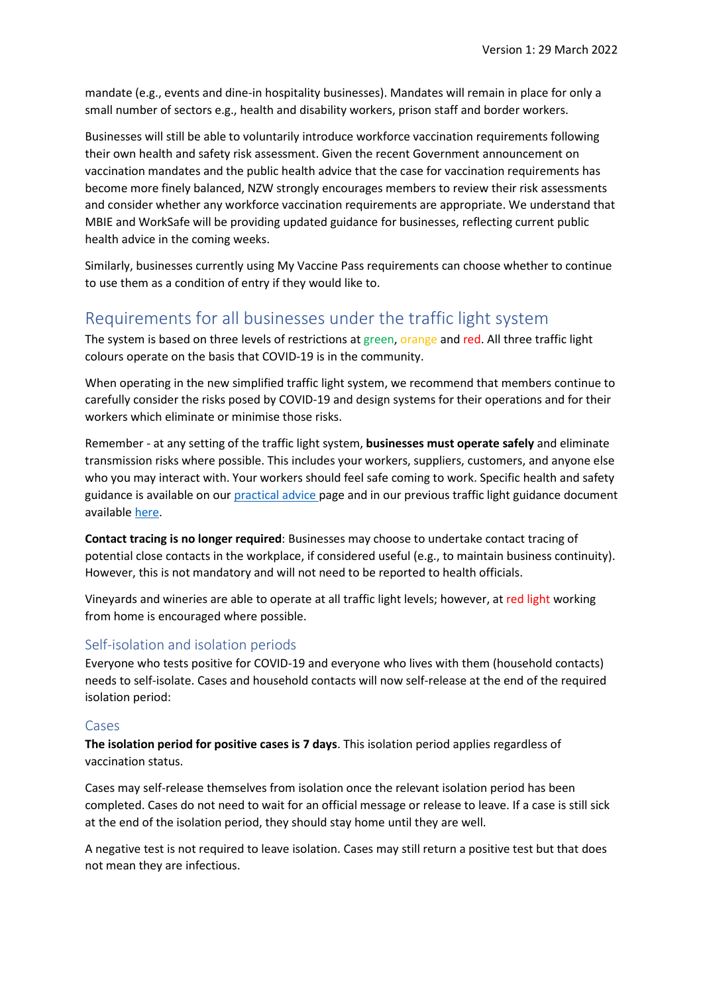mandate (e.g., events and dine-in hospitality businesses). Mandates will remain in place for only a small number of sectors e.g., health and disability workers, prison staff and border workers.

Businesses will still be able to voluntarily introduce workforce vaccination requirements following their own health and safety risk assessment. Given the recent Government announcement on vaccination mandates and the public health advice that the case for vaccination requirements has become more finely balanced, NZW strongly encourages members to review their risk assessments and consider whether any workforce vaccination requirements are appropriate. We understand that MBIE and WorkSafe will be providing updated guidance for businesses, reflecting current public health advice in the coming weeks.

Similarly, businesses currently using My Vaccine Pass requirements can choose whether to continue to use them as a condition of entry if they would like to.

# Requirements for all businesses under the traffic light system

The system is based on three levels of restrictions at green, orange and red. All three traffic light colours operate on the basis that COVID-19 is in the community.

When operating in the new simplified traffic light system, we recommend that members continue to carefully consider the risks posed by COVID-19 and design systems for their operations and for their workers which eliminate or minimise those risks.

Remember - at any setting of the traffic light system, **businesses must operate safely** and eliminate transmission risks where possible. This includes your workers, suppliers, customers, and anyone else who you may interact with. Your workers should feel safe coming to work. Specific health and safety guidance is available on our [practical advice p](https://www.nzwine.com/en/covid19/practical-advice/)age and in our previous traffic light guidance document available [here.](https://www.nzwine.com/en/covid19/practical-advice/archived/)

**Contact tracing is no longer required**: Businesses may choose to undertake contact tracing of potential close contacts in the workplace, if considered useful (e.g., to maintain business continuity). However, this is not mandatory and will not need to be reported to health officials.

Vineyards and wineries are able to operate at all traffic light levels; however, at red light working from home is encouraged where possible.

# Self-isolation and isolation periods

Everyone who tests positive for COVID-19 and everyone who lives with them (household contacts) needs to self-isolate. Cases and household contacts will now self-release at the end of the required isolation period:

## Cases

**The isolation period for positive cases is 7 days**. This isolation period applies regardless of vaccination status.

Cases may self-release themselves from isolation once the relevant isolation period has been completed. Cases do not need to wait for an official message or release to leave. If a case is still sick at the end of the isolation period, they should stay home until they are well.

A negative test is not required to leave isolation. Cases may still return a positive test but that does not mean they are infectious.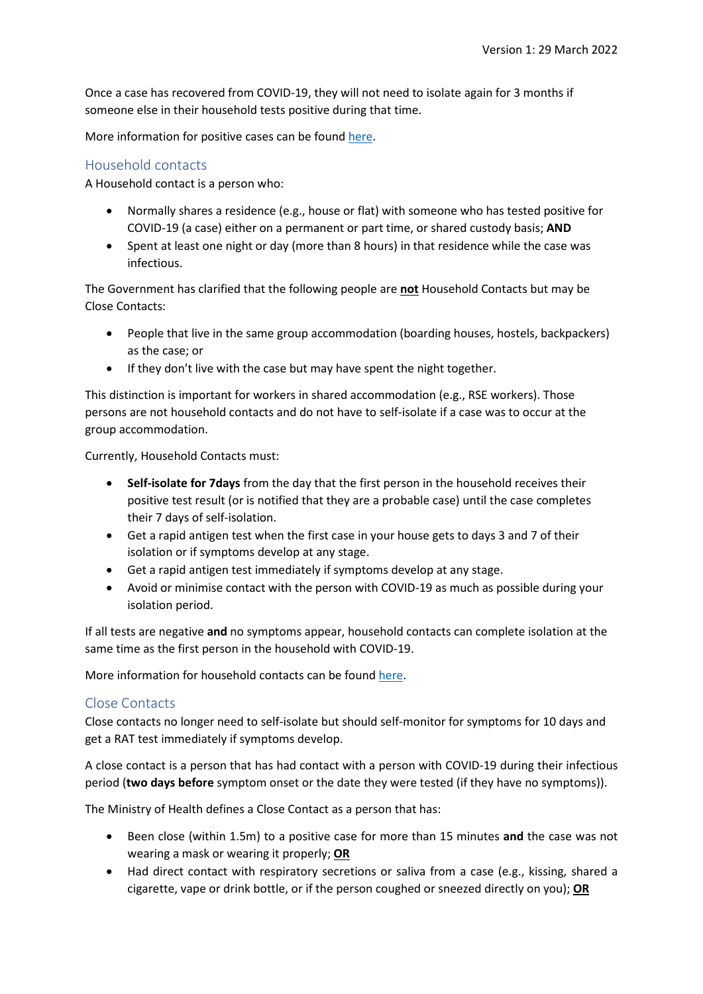Once a case has recovered from COVID-19, they will not need to isolate again for 3 months if someone else in their household tests positive during that time.

More information for positive cases can be found [here.](https://covid19.govt.nz/isolation-and-care/if-you-have-covid-19/)

# Household contacts

A Household contact is a person who:

- Normally shares a residence (e.g., house or flat) with someone who has tested positive for COVID-19 (a case) either on a permanent or part time, or shared custody basis; **AND**
- Spent at least one night or day (more than 8 hours) in that residence while the case was infectious.

The Government has clarified that the following people are **not** Household Contacts but may be Close Contacts:

- People that live in the same group accommodation (boarding houses, hostels, backpackers) as the case; or
- If they don't live with the case but may have spent the night together.

This distinction is important for workers in shared accommodation (e.g., RSE workers). Those persons are not household contacts and do not have to self-isolate if a case was to occur at the group accommodation.

Currently, Household Contacts must:

- **Self-isolate for 7days** from the day that the first person in the household receives their positive test result (or is notified that they are a probable case) until the case completes their 7 days of self-isolation.
- Get a rapid antigen test when the first case in your house gets to days 3 and 7 of their isolation or if symptoms develop at any stage.
- Get a rapid antigen test immediately if symptoms develop at any stage.
- Avoid or minimise contact with the person with COVID-19 as much as possible during your isolation period.

If all tests are negative **and** no symptoms appear, household contacts can complete isolation at the same time as the first person in the household with COVID-19.

More information for household contacts can be found [here.](https://www.health.govt.nz/covid-19-novel-coronavirus/covid-19-health-advice-public/covid-19-information-household-and-close-contacts#closecontacts)

## Close Contacts

Close contacts no longer need to self-isolate but should self-monitor for symptoms for 10 days and get a RAT test immediately if symptoms develop.

A close contact is a person that has had contact with a person with COVID-19 during their infectious period (**two days before** symptom onset or the date they were tested (if they have no symptoms)).

The Ministry of Health defines a Close Contact as a person that has:

- Been close (within 1.5m) to a positive case for more than 15 minutes **and** the case was not wearing a mask or wearing it properly; **OR**
- Had direct contact with respiratory secretions or saliva from a case (e.g., kissing, shared a cigarette, vape or drink bottle, or if the person coughed or sneezed directly on you); **OR**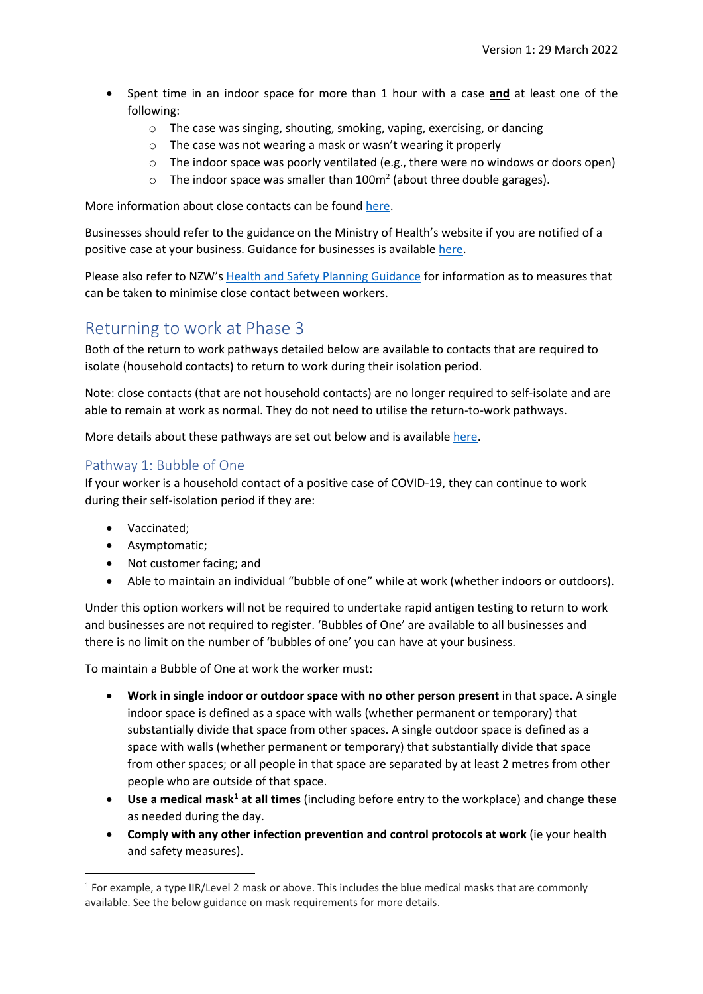- Spent time in an indoor space for more than 1 hour with a case **and** at least one of the following:
	- o The case was singing, shouting, smoking, vaping, exercising, or dancing
	- o The case was not wearing a mask or wasn't wearing it properly
	- $\circ$  The indoor space was poorly ventilated (e.g., there were no windows or doors open)
	- $\circ$  The indoor space was smaller than 100m<sup>2</sup> (about three double garages).

More information about close contacts can be found [here.](https://www.health.govt.nz/covid-19-novel-coronavirus/covid-19-health-advice-public/covid-19-information-close-contacts)

Businesses should refer to the guidance on the Ministry of Health's website if you are notified of a positive case at your business. Guidance for businesses is availabl[e here.](https://www.health.govt.nz/covid-19-novel-coronavirus/covid-19-health-advice-public/covid-19-information-household-and-close-contacts/guidance-workplaces-staff-impacted-covid-19)

Please also refer to NZW'[s Health and Safety Planning Guidance](https://www.nzwine.com/en/covid19/practical-advice/) for information as to measures that can be taken to minimise close contact between workers.

# Returning to work at Phase 3

Both of the return to work pathways detailed below are available to contacts that are required to isolate (household contacts) to return to work during their isolation period.

Note: close contacts (that are not household contacts) are no longer required to self-isolate and are able to remain at work as normal. They do not need to utilise the return-to-work pathways.

More details about these pathways are set out below and is available [here.](https://www.business.govt.nz/covid-19/close-contact-exemption-scheme/?decisionpathway=503)

# Pathway 1: Bubble of One

If your worker is a household contact of a positive case of COVID-19, they can continue to work during their self-isolation period if they are:

- Vaccinated;
- Asymptomatic;
- Not customer facing; and
- Able to maintain an individual "bubble of one" while at work (whether indoors or outdoors).

Under this option workers will not be required to undertake rapid antigen testing to return to work and businesses are not required to register. 'Bubbles of One' are available to all businesses and there is no limit on the number of 'bubbles of one' you can have at your business.

To maintain a Bubble of One at work the worker must:

- **Work in single indoor or outdoor space with no other person present** in that space. A single indoor space is defined as a space with walls (whether permanent or temporary) that substantially divide that space from other spaces. A single outdoor space is defined as a space with walls (whether permanent or temporary) that substantially divide that space from other spaces; or all people in that space are separated by at least 2 metres from other people who are outside of that space.
- **•** Use a medical mask<sup>1</sup> at all times (including before entry to the workplace) and change these as needed during the day.
- **Comply with any other infection prevention and control protocols at work** (ie your health and safety measures).

<span id="page-4-0"></span> $1$  For example, a type IIR/Level 2 mask or above. This includes the blue medical masks that are commonly available. See the below guidance on mask requirements for more details.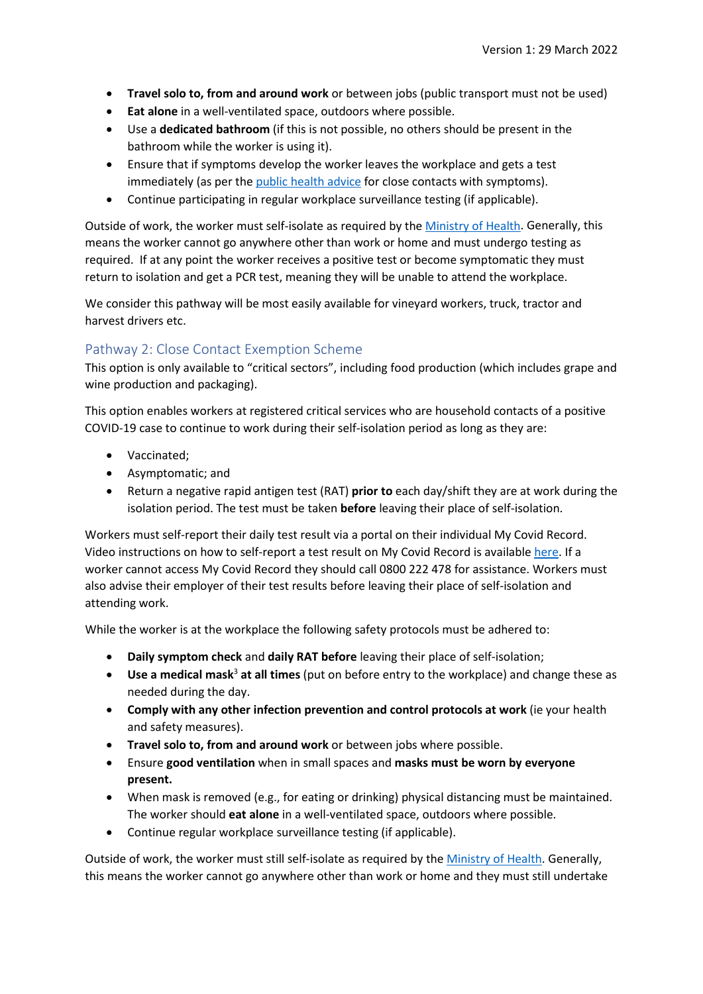- **Travel solo to, from and around work** or between jobs (public transport must not be used)
- **Eat alone** in a well-ventilated space, outdoors where possible.
- Use a **dedicated bathroom** (if this is not possible, no others should be present in the bathroom while the worker is using it).
- Ensure that if symptoms develop the worker leaves the workplace and gets a test immediately (as per th[e public health advice](https://www.health.govt.nz/our-work/diseases-and-conditions/covid-19-novel-coronavirus/covid-19-health-advice-public/contact-tracing-covid-19) for close contacts with symptoms).
- Continue participating in regular workplace surveillance testing (if applicable).

Outside of work, the worker must self-isolate as required by the [Ministry of Health.](https://www.health.govt.nz/our-work/diseases-and-conditions/covid-19-novel-coronavirus/covid-19-health-advice-public/contact-tracing-covid-19) Generally, this means the worker cannot go anywhere other than work or home and must undergo testing as required. If at any point the worker receives a positive test or become symptomatic they must return to isolation and get a PCR test, meaning they will be unable to attend the workplace.

We consider this pathway will be most easily available for vineyard workers, truck, tractor and harvest drivers etc.

# Pathway 2: Close Contact Exemption Scheme

This option is only available to "critical sectors", including food production (which includes grape and wine production and packaging).

This option enables workers at registered critical services who are household contacts of a positive COVID-19 case to continue to work during their self-isolation period as long as they are:

- Vaccinated;
- Asymptomatic; and
- Return a negative rapid antigen test (RAT) **prior to** each day/shift they are at work during the isolation period. The test must be taken **before** leaving their place of self-isolation.

Workers must self-report their daily test result via a portal on their individual My Covid Record. Video instructions on how to self-report a test result on My Covid Record is availabl[e here.](https://www.youtube.com/watch?v=yGifSro0rf4) If a worker cannot access My Covid Record they should call 0800 222 478 for assistance. Workers must also advise their employer of their test results before leaving their place of self-isolation and attending work.

While the worker is at the workplace the following safety protocols must be adhered to:

- **Daily symptom check** and **daily RAT before** leaving their place of self-isolation;
- **Use a medical mask**<sup>3</sup> **at all times** (put on before entry to the workplace) and change these as needed during the day.
- **Comply with any other infection prevention and control protocols at work** (ie your health and safety measures).
- **Travel solo to, from and around work** or between jobs where possible.
- Ensure **good ventilation** when in small spaces and **masks must be worn by everyone present.**
- When mask is removed (e.g., for eating or drinking) physical distancing must be maintained. The worker should **eat alone** in a well-ventilated space, outdoors where possible.
- Continue regular workplace surveillance testing (if applicable).

Outside of work, the worker must still self-isolate as required by the [Ministry of Health.](https://www.health.govt.nz/our-work/diseases-and-conditions/covid-19-novel-coronavirus/covid-19-health-advice-public/contact-tracing-covid-19) Generally, this means the worker cannot go anywhere other than work or home and they must still undertake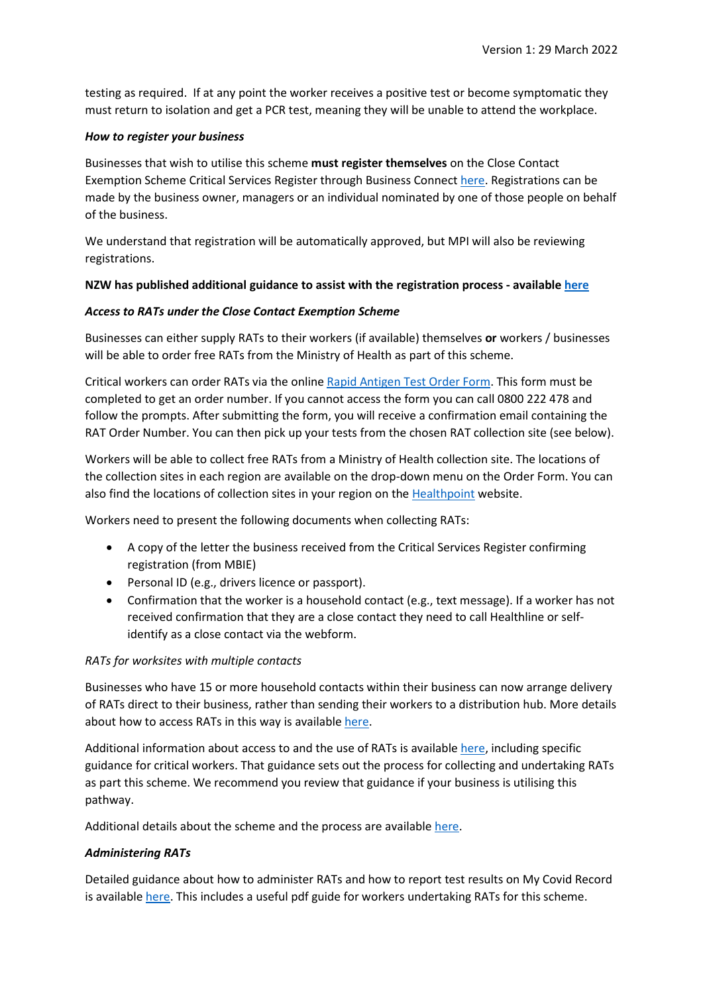testing as required. If at any point the worker receives a positive test or become symptomatic they must return to isolation and get a PCR test, meaning they will be unable to attend the workplace.

#### *How to register your business*

Businesses that wish to utilise this scheme **must register themselves** on the Close Contact Exemption Scheme Critical Services Register through Business Connect [here.](https://www.business.govt.nz/covid-19/close-contact-exemption-scheme/) Registrations can be made by the business owner, managers or an individual nominated by one of those people on behalf of the business.

We understand that registration will be automatically approved, but MPI will also be reviewing registrations.

#### **NZW has published additional guidance to assist with the registration process - available [here](https://www.nzwine.com/en/covid19/practical-advice/)**

#### *Access to RATs under the Close Contact Exemption Scheme*

Businesses can either supply RATs to their workers (if available) themselves **or** workers / businesses will be able to order free RATs from the Ministry of Health as part of this scheme.

Critical workers can order RATs via the online [Rapid Antigen Test Order Form.](https://ncts.force.com/ratorder/s/) This form must be completed to get an order number. If you cannot access the form you can call 0800 222 478 and follow the prompts. After submitting the form, you will receive a confirmation email containing the RAT Order Number. You can then pick up your tests from the chosen RAT collection site (see below).

Workers will be able to collect free RATs from a Ministry of Health collection site. The locations of the collection sites in each region are available on the drop-down menu on the Order Form. You can also find the locations of collection sites in your region on the [Healthpoint](https://www.healthpoint.co.nz/covid-19/?covidTesting=rats) website.

Workers need to present the following documents when collecting RATs:

- A copy of the letter the business received from the Critical Services Register confirming registration (from MBIE)
- Personal ID (e.g., drivers licence or passport).
- Confirmation that the worker is a household contact (e.g., text message). If a worker has not received confirmation that they are a close contact they need to call Healthline or selfidentify as a close contact via the webform.

## *RATs for worksites with multiple contacts*

Businesses who have 15 or more household contacts within their business can now arrange delivery of RATs direct to their business, rather than sending their workers to a distribution hub. More details about how to access RATs in this way is available [here.](https://www.health.govt.nz/covid-19-novel-coronavirus/covid-19-health-advice-public/assessment-and-testing-covid-19/rapid-antigen-testing?utm_source=CEO+updates+re+Covid+19&utm_campaign=ea07a45c83-EMAIL_CAMPAIGN_2022_02_24_12_10&utm_medium=email&utm_term=0_e51907da63-ea07a45c83-73095859)

Additional information about access to and the use of RATs is available [here,](https://www.health.govt.nz/our-work/diseases-and-conditions/covid-19-novel-coronavirus/covid-19-health-advice-public/assessment-and-testing-covid-19/rapid-antigen-testing#business) including specific guidance for critical workers. That guidance sets out the process for collecting and undertaking RATs as part this scheme. We recommend you review that guidance if your business is utilising this pathway.

Additional details about the scheme and the process are available [here.](https://www.business.govt.nz/covid-19/close-contact-exemption-scheme/?decisionpathway=503)

## *Administering RATs*

Detailed guidance about how to administer RATs and how to report test results on My Covid Record is availabl[e here.](https://www.health.govt.nz/covid-19-novel-coronavirus/covid-19-health-advice-public/assessment-and-testing-covid-19/rapid-antigen-testing#using) This includes a useful pdf guide for workers undertaking RATs for this scheme.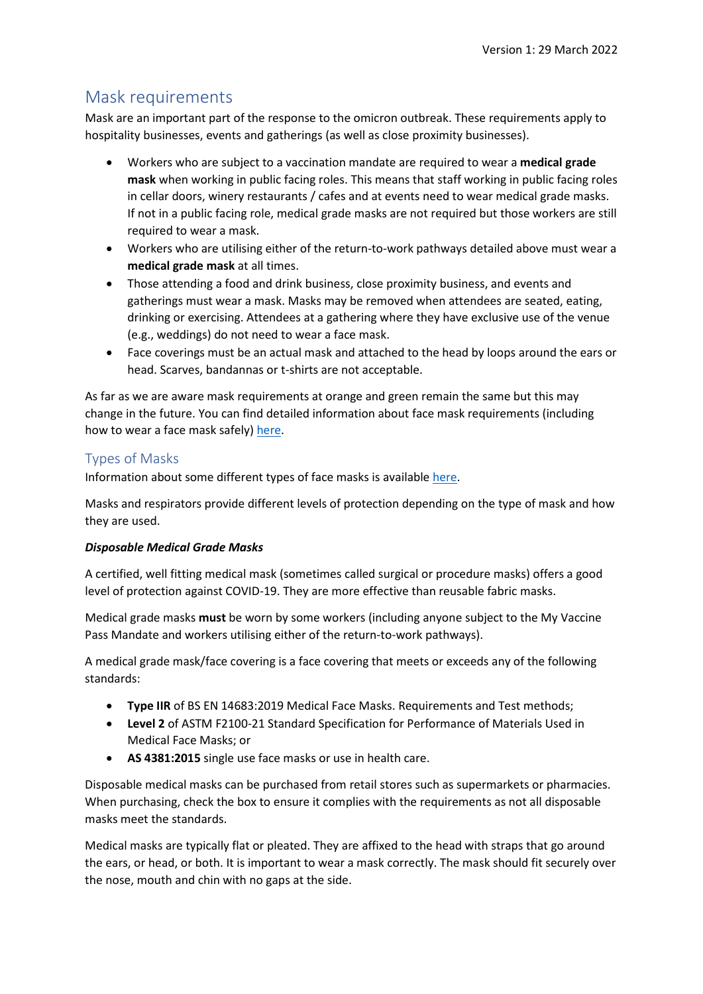# Mask requirements

Mask are an important part of the response to the omicron outbreak. These requirements apply to hospitality businesses, events and gatherings (as well as close proximity businesses).

- Workers who are subject to a vaccination mandate are required to wear a **medical grade mask** when working in public facing roles. This means that staff working in public facing roles in cellar doors, winery restaurants / cafes and at events need to wear medical grade masks. If not in a public facing role, medical grade masks are not required but those workers are still required to wear a mask.
- Workers who are utilising either of the return-to-work pathways detailed above must wear a **medical grade mask** at all times.
- Those attending a food and drink business, close proximity business, and events and gatherings must wear a mask. Masks may be removed when attendees are seated, eating, drinking or exercising. Attendees at a gathering where they have exclusive use of the venue (e.g., weddings) do not need to wear a face mask.
- Face coverings must be an actual mask and attached to the head by loops around the ears or head. Scarves, bandannas or t-shirts are not acceptable.

As far as we are aware mask requirements at orange and green remain the same but this may change in the future. You can find detailed information about face mask requirements (including how to wear a face mask safely[\) here.](https://covid19.govt.nz/prepare-and-stay-safe/keep-up-healthy-habits/wear-a-face-mask/)

# Types of Masks

Information about some different types of face masks is availabl[e here.](https://www.health.govt.nz/covid-19-novel-coronavirus/covid-19-health-advice-public/covid-19-use-face-masks-community)

Masks and respirators provide different levels of protection depending on the type of mask and how they are used.

## *Disposable Medical Grade Masks*

A certified, well fitting medical mask (sometimes called surgical or procedure masks) offers a good level of protection against COVID-19. They are more effective than reusable fabric masks.

Medical grade masks **must** be worn by some workers (including anyone subject to the My Vaccine Pass Mandate and workers utilising either of the return-to-work pathways).

A medical grade mask/face covering is a face covering that meets or exceeds any of the following standards:

- **Type IIR** of BS EN 14683:2019 Medical Face Masks. Requirements and Test methods;
- **Level 2** of ASTM F2100-21 Standard Specification for Performance of Materials Used in Medical Face Masks; or
- **AS 4381:2015** single use face masks or use in health care.

Disposable medical masks can be purchased from retail stores such as supermarkets or pharmacies. When purchasing, check the box to ensure it complies with the requirements as not all disposable masks meet the standards.

Medical masks are typically flat or pleated. They are affixed to the head with straps that go around the ears, or head, or both. It is important to wear a mask correctly. The mask should fit securely over the nose, mouth and chin with no gaps at the side.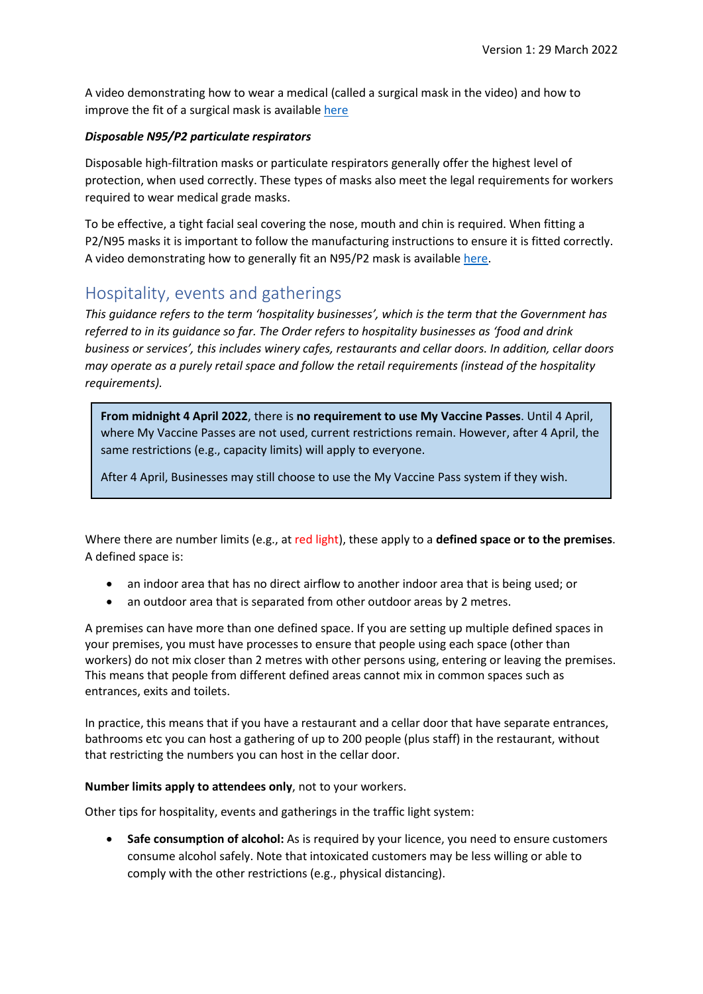A video demonstrating how to wear a medical (called a surgical mask in the video) and how to improve the fit of a surgical mask is available [here](https://www.youtube.com/watch?v=i68Doa4kS_M)

## *Disposable N95/P2 particulate respirators*

Disposable high-filtration masks or particulate respirators generally offer the highest level of protection, when used correctly. These types of masks also meet the legal requirements for workers required to wear medical grade masks.

To be effective, a tight facial seal covering the nose, mouth and chin is required. When fitting a P2/N95 masks it is important to follow the manufacturing instructions to ensure it is fitted correctly. A video demonstrating how to generally fit an N95/P2 mask is available [here.](https://www.youtube.com/watch?v=i68Doa4kS_M)

# Hospitality, events and gatherings

*This guidance refers to the term 'hospitality businesses', which is the term that the Government has referred to in its guidance so far. The Order refers to hospitality businesses as 'food and drink business or services', this includes winery cafes, restaurants and cellar doors. In addition, cellar doors may operate as a purely retail space and follow the retail requirements (instead of the hospitality requirements).* 

**From midnight 4 April 2022**, there is **no requirement to use My Vaccine Passes**. Until 4 April, where My Vaccine Passes are not used, current restrictions remain. However, after 4 April, the same restrictions (e.g., capacity limits) will apply to everyone.

After 4 April, Businesses may still choose to use the My Vaccine Pass system if they wish.

Where there are number limits (e.g., at red light), these apply to a **defined space or to the premises**. A defined space is:

- an indoor area that has no direct airflow to another indoor area that is being used; or
- an outdoor area that is separated from other outdoor areas by 2 metres.

A premises can have more than one defined space. If you are setting up multiple defined spaces in your premises, you must have processes to ensure that people using each space (other than workers) do not mix closer than 2 metres with other persons using, entering or leaving the premises. This means that people from different defined areas cannot mix in common spaces such as entrances, exits and toilets.

In practice, this means that if you have a restaurant and a cellar door that have separate entrances, bathrooms etc you can host a gathering of up to 200 people (plus staff) in the restaurant, without that restricting the numbers you can host in the cellar door.

## **Number limits apply to attendees only**, not to your workers.

Other tips for hospitality, events and gatherings in the traffic light system:

• **Safe consumption of alcohol:** As is required by your licence, you need to ensure customers consume alcohol safely. Note that intoxicated customers may be less willing or able to comply with the other restrictions (e.g., physical distancing).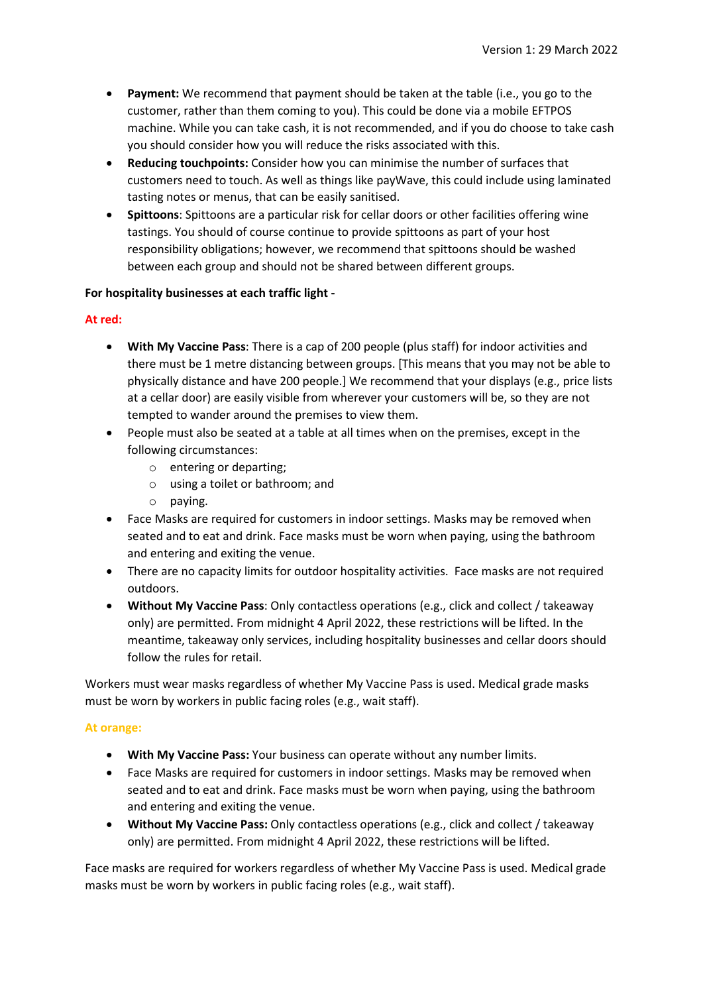- **Payment:** We recommend that payment should be taken at the table (i.e., you go to the customer, rather than them coming to you). This could be done via a mobile EFTPOS machine. While you can take cash, it is not recommended, and if you do choose to take cash you should consider how you will reduce the risks associated with this.
- **Reducing touchpoints:** Consider how you can minimise the number of surfaces that customers need to touch. As well as things like payWave, this could include using laminated tasting notes or menus, that can be easily sanitised.
- **Spittoons**: Spittoons are a particular risk for cellar doors or other facilities offering wine tastings. You should of course continue to provide spittoons as part of your host responsibility obligations; however, we recommend that spittoons should be washed between each group and should not be shared between different groups.

#### **For hospitality businesses at each traffic light -**

#### **At red:**

- **With My Vaccine Pass**: There is a cap of 200 people (plus staff) for indoor activities and there must be 1 metre distancing between groups. [This means that you may not be able to physically distance and have 200 people.] We recommend that your displays (e.g., price lists at a cellar door) are easily visible from wherever your customers will be, so they are not tempted to wander around the premises to view them.
- People must also be seated at a table at all times when on the premises, except in the following circumstances:
	- o entering or departing;
	- o using a toilet or bathroom; and
	- o paying.
- Face Masks are required for customers in indoor settings. Masks may be removed when seated and to eat and drink. Face masks must be worn when paying, using the bathroom and entering and exiting the venue.
- There are no capacity limits for outdoor hospitality activities. Face masks are not required outdoors.
- **Without My Vaccine Pass**: Only contactless operations (e.g., click and collect / takeaway only) are permitted. From midnight 4 April 2022, these restrictions will be lifted. In the meantime, takeaway only services, including hospitality businesses and cellar doors should follow the rules for retail.

Workers must wear masks regardless of whether My Vaccine Pass is used. Medical grade masks must be worn by workers in public facing roles (e.g., wait staff).

#### **At orange:**

- **With My Vaccine Pass:** Your business can operate without any number limits.
- Face Masks are required for customers in indoor settings. Masks may be removed when seated and to eat and drink. Face masks must be worn when paying, using the bathroom and entering and exiting the venue.
- **Without My Vaccine Pass:** Only contactless operations (e.g., click and collect / takeaway only) are permitted. From midnight 4 April 2022, these restrictions will be lifted.

Face masks are required for workers regardless of whether My Vaccine Pass is used. Medical grade masks must be worn by workers in public facing roles (e.g., wait staff).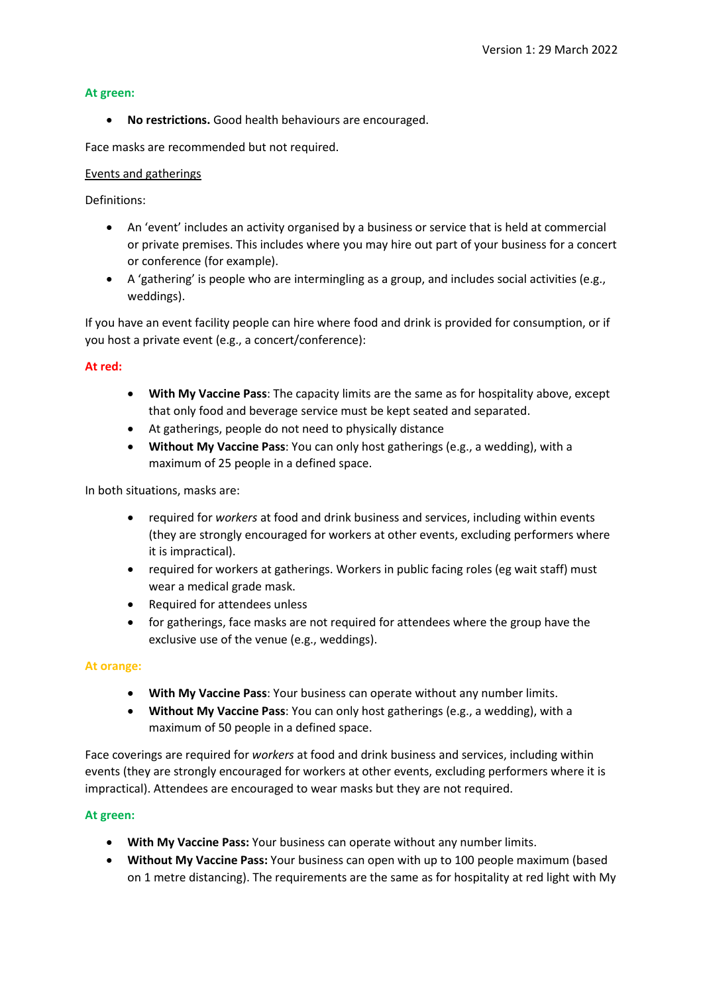#### **At green:**

• **No restrictions.** Good health behaviours are encouraged.

Face masks are recommended but not required.

#### Events and gatherings

Definitions:

- An 'event' includes an activity organised by a business or service that is held at commercial or private premises. This includes where you may hire out part of your business for a concert or conference (for example).
- A 'gathering' is people who are intermingling as a group, and includes social activities (e.g., weddings).

If you have an event facility people can hire where food and drink is provided for consumption, or if you host a private event (e.g., a concert/conference):

#### **At red:**

- **With My Vaccine Pass**: The capacity limits are the same as for hospitality above, except that only food and beverage service must be kept seated and separated.
- At gatherings, people do not need to physically distance
- **Without My Vaccine Pass**: You can only host gatherings (e.g., a wedding), with a maximum of 25 people in a defined space.

In both situations, masks are:

- required for *workers* at food and drink business and services, including within events (they are strongly encouraged for workers at other events, excluding performers where it is impractical).
- required for workers at gatherings. Workers in public facing roles (eg wait staff) must wear a medical grade mask.
- Required for attendees unless
- for gatherings, face masks are not required for attendees where the group have the exclusive use of the venue (e.g., weddings).

#### **At orange:**

- **With My Vaccine Pass**: Your business can operate without any number limits.
- **Without My Vaccine Pass**: You can only host gatherings (e.g., a wedding), with a maximum of 50 people in a defined space.

Face coverings are required for *workers* at food and drink business and services, including within events (they are strongly encouraged for workers at other events, excluding performers where it is impractical). Attendees are encouraged to wear masks but they are not required.

#### **At green:**

- **With My Vaccine Pass:** Your business can operate without any number limits.
- **Without My Vaccine Pass:** Your business can open with up to 100 people maximum (based on 1 metre distancing). The requirements are the same as for hospitality at red light with My